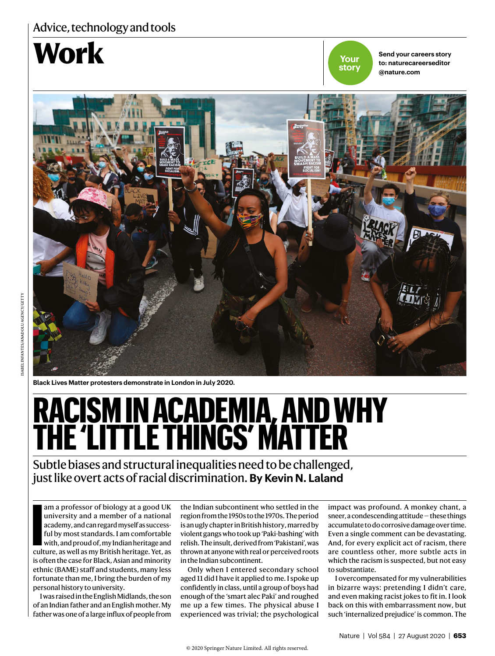### Advice, technology and tools

## **WOFK Send your careers story**

**Your story**

**to: naturecareerseditor @nature.com**



**Black Lives Matter protesters demonstrate in London in July 2020.**

# **RACISM IN ACADEMIA, AND WHY THE 'LITTLE THINGS' MATTER**

Subtle biases and structural inequalities need to be challenged, just like overt acts of racial discrimination. **By Kevin N. Laland**

am a professor of biology at a good UK<br>
university and a member of a national<br>
academy, and can regard myself as success-<br>
ful by most standards. I am comfortable<br>
with, and proud of, my Indian heritage and<br>
culture, as we university and a member of a national academy, and can regard myself as successful by most standards. I am comfortable with, and proud of, my Indian heritage and is often the case for Black, Asian and minority ethnic (BAME) staff and students, many less fortunate than me, I bring the burden of my personal history to university.

I was raised in the English Midlands, the son of an Indian father and an English mother. My father was one of a large influx of people from

the Indian subcontinent who settled in the region from the 1950s to the 1970s. The period is an ugly chapter in British history, marred by violent gangs who took up 'Paki-bashing' with relish. The insult, derived from 'Pakistani', was thrown at anyone with real or perceived roots in the Indian subcontinent.

Only when I entered secondary school aged 11 did I have it applied to me. I spoke up confidently in class, until a group of boys had enough of the 'smart alec Paki' and roughed me up a few times. The physical abuse I experienced was trivial; the psychological

impact was profound. A monkey chant, a sneer, a condescending attitude — these things accumulate to do corrosive damage over time. Even a single comment can be devastating. And, for every explicit act of racism, there are countless other, more subtle acts in which the racism is suspected, but not easy to substantiate.

I overcompensated for my vulnerabilities in bizarre ways: pretending I didn't care, and even making racist jokes to fit in. I look back on this with embarrassment now, but such 'internalized prejudice' is common. The